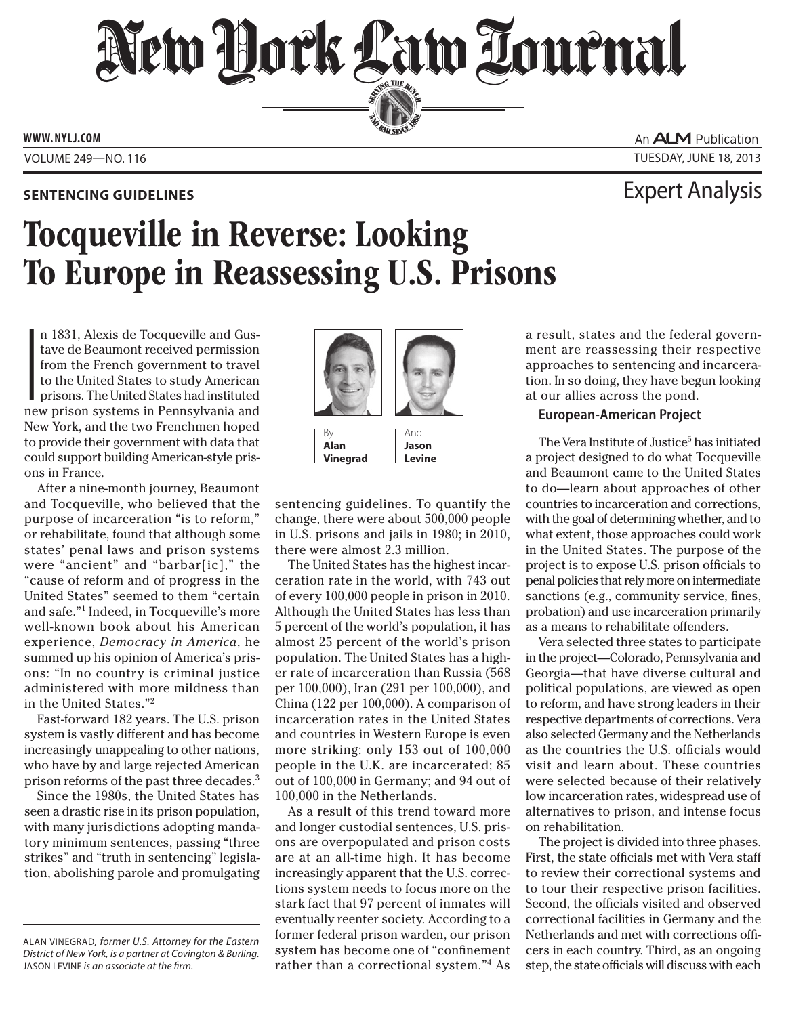# New Hork Law Lournal SERVING THE BET

**ED BAR SINCE 1888** 

**www. NYLJ.com**

An **ALM** Publication Volume 249—NO. 116 Tuesday, June 18, 2013

### **Sentencing Guidelines** Expert Analysis

## Tocqueville in Reverse: Looking To Europe in Reassessing U.S. Prisons

 $\begin{bmatrix} 1 \\ 1 \\ 1 \end{bmatrix}$ n 1831, Alexis de Tocqueville and Gustave de Beaumont received permission from the French government to travel to the United States to study American prisons. The United States had instituted new prison systems in Pennsylvania and New York, and the two Frenchmen hoped to provide their government with data that could support building American-style prisons in France.

After a nine-month journey, Beaumont and Tocqueville, who believed that the purpose of incarceration "is to reform," or rehabilitate, found that although some states' penal laws and prison systems were "ancient" and "barbar[ic]," the "cause of reform and of progress in the United States" seemed to them "certain and safe."1 Indeed, in Tocqueville's more well-known book about his American experience, *Democracy in America*, he summed up his opinion of America's prisons: "In no country is criminal justice administered with more mildness than in the United States."2

Fast-forward 182 years. The U.S. prison system is vastly different and has become increasingly unappealing to other nations, who have by and large rejected American prison reforms of the past three decades.3

Since the 1980s, the United States has seen a drastic rise in its prison population, with many jurisdictions adopting mandatory minimum sentences, passing "three strikes" and "truth in sentencing" legislation, abolishing parole and promulgating



By **Alan Vinegrad**

And **Jason Levine**

sentencing guidelines. To quantify the change, there were about 500,000 people in U.S. prisons and jails in 1980; in 2010, there were almost 2.3 million.

The United States has the highest incarceration rate in the world, with 743 out of every 100,000 people in prison in 2010. Although the United States has less than 5 percent of the world's population, it has almost 25 percent of the world's prison population. The United States has a higher rate of incarceration than Russia (568 per 100,000), Iran (291 per 100,000), and China (122 per 100,000). A comparison of incarceration rates in the United States and countries in Western Europe is even more striking: only 153 out of 100,000 people in the U.K. are incarcerated; 85 out of 100,000 in Germany; and 94 out of 100,000 in the Netherlands.

As a result of this trend toward more and longer custodial sentences, U.S. prisons are overpopulated and prison costs are at an all-time high. It has become increasingly apparent that the U.S. corrections system needs to focus more on the stark fact that 97 percent of inmates will eventually reenter society. According to a former federal prison warden, our prison system has become one of "confinement rather than a correctional system."4 As

a result, states and the federal government are reassessing their respective approaches to sentencing and incarceration. In so doing, they have begun looking at our allies across the pond.

#### **European-American Project**

The Vera Institute of Justice<sup>5</sup> has initiated a project designed to do what Tocqueville and Beaumont came to the United States to do—learn about approaches of other countries to incarceration and corrections, with the goal of determining whether, and to what extent, those approaches could work in the United States. The purpose of the project is to expose U.S. prison officials to penal policies that rely more on intermediate sanctions (e.g., community service, fines, probation) and use incarceration primarily as a means to rehabilitate offenders.

Vera selected three states to participate in the project—Colorado, Pennsylvania and Georgia—that have diverse cultural and political populations, are viewed as open to reform, and have strong leaders in their respective departments of corrections. Vera also selected Germany and the Netherlands as the countries the U.S. officials would visit and learn about. These countries were selected because of their relatively low incarceration rates, widespread use of alternatives to prison, and intense focus on rehabilitation.

The project is divided into three phases. First, the state officials met with Vera staff to review their correctional systems and to tour their respective prison facilities. Second, the officials visited and observed correctional facilities in Germany and the Netherlands and met with corrections officers in each country. Third, as an ongoing step, the state officials will discuss with each

ALAN VINEGRAD*, former U.S. Attorney for the Eastern District of New York, is a partner at Covington & Burling.*  JASON LEVINE *is an associate at the firm.*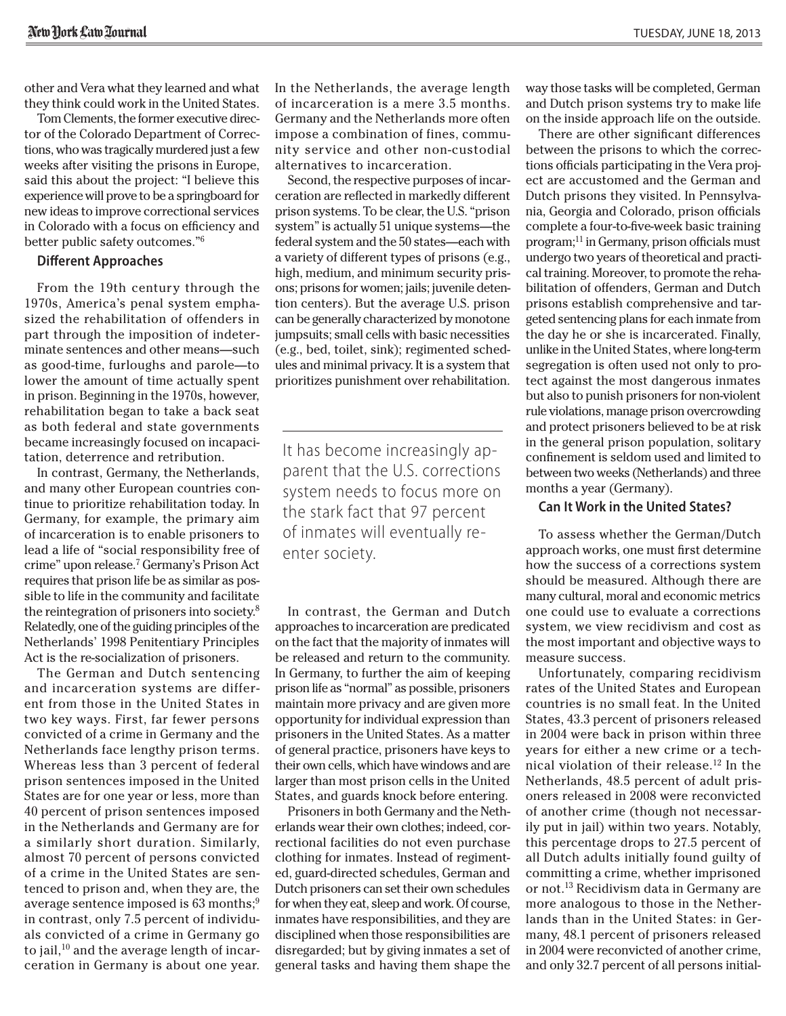other and Vera what they learned and what they think could work in the United States.

Tom Clements, the former executive director of the Colorado Department of Corrections, who was tragically murdered just a few weeks after visiting the prisons in Europe, said this about the project: "I believe this experience will prove to be a springboard for new ideas to improve correctional services in Colorado with a focus on efficiency and better public safety outcomes."6

#### **Different Approaches**

From the 19th century through the 1970s, America's penal system emphasized the rehabilitation of offenders in part through the imposition of indeterminate sentences and other means—such as good-time, furloughs and parole—to lower the amount of time actually spent in prison. Beginning in the 1970s, however, rehabilitation began to take a back seat as both federal and state governments became increasingly focused on incapacitation, deterrence and retribution.

In contrast, Germany, the Netherlands, and many other European countries continue to prioritize rehabilitation today. In Germany, for example, the primary aim of incarceration is to enable prisoners to lead a life of "social responsibility free of crime" upon release.7 Germany's Prison Act requires that prison life be as similar as possible to life in the community and facilitate the reintegration of prisoners into society.8 Relatedly, one of the guiding principles of the Netherlands' 1998 Penitentiary Principles Act is the re-socialization of prisoners.

The German and Dutch sentencing and incarceration systems are different from those in the United States in two key ways. First, far fewer persons convicted of a crime in Germany and the Netherlands face lengthy prison terms. Whereas less than 3 percent of federal prison sentences imposed in the United States are for one year or less, more than 40 percent of prison sentences imposed in the Netherlands and Germany are for a similarly short duration. Similarly, almost 70 percent of persons convicted of a crime in the United States are sentenced to prison and, when they are, the average sentence imposed is 63 months;<sup>9</sup> in contrast, only 7.5 percent of individuals convicted of a crime in Germany go to jail, $10$  and the average length of incarceration in Germany is about one year.

In the Netherlands, the average length of incarceration is a mere 3.5 months. Germany and the Netherlands more often impose a combination of fines, community service and other non-custodial alternatives to incarceration.

Second, the respective purposes of incarceration are reflected in markedly different prison systems. To be clear, the U.S. "prison system" is actually 51 unique systems—the federal system and the 50 states—each with a variety of different types of prisons (e.g., high, medium, and minimum security prisons; prisons for women; jails; juvenile detention centers). But the average U.S. prison can be generally characterized by monotone jumpsuits; small cells with basic necessities (e.g., bed, toilet, sink); regimented schedules and minimal privacy. It is a system that prioritizes punishment over rehabilitation.

It has become increasingly apparent that the U.S. corrections system needs to focus more on the stark fact that 97 percent of inmates will eventually reenter society.

In contrast, the German and Dutch approaches to incarceration are predicated on the fact that the majority of inmates will be released and return to the community. In Germany, to further the aim of keeping prison life as "normal" as possible, prisoners maintain more privacy and are given more opportunity for individual expression than prisoners in the United States. As a matter of general practice, prisoners have keys to their own cells, which have windows and are larger than most prison cells in the United States, and guards knock before entering.

Prisoners in both Germany and the Netherlands wear their own clothes; indeed, correctional facilities do not even purchase clothing for inmates. Instead of regimented, guard-directed schedules, German and Dutch prisoners can set their own schedules for when they eat, sleep and work. Of course, inmates have responsibilities, and they are disciplined when those responsibilities are disregarded; but by giving inmates a set of general tasks and having them shape the way those tasks will be completed, German and Dutch prison systems try to make life on the inside approach life on the outside.

There are other significant differences between the prisons to which the corrections officials participating in the Vera project are accustomed and the German and Dutch prisons they visited. In Pennsylvania, Georgia and Colorado, prison officials complete a four-to-five-week basic training program;11 in Germany, prison officials must undergo two years of theoretical and practical training. Moreover, to promote the rehabilitation of offenders, German and Dutch prisons establish comprehensive and targeted sentencing plans for each inmate from the day he or she is incarcerated. Finally, unlike in the United States, where long-term segregation is often used not only to protect against the most dangerous inmates but also to punish prisoners for non-violent rule violations, manage prison overcrowding and protect prisoners believed to be at risk in the general prison population, solitary confinement is seldom used and limited to between two weeks (Netherlands) and three months a year (Germany).

#### **Can It Work in the United States?**

To assess whether the German/Dutch approach works, one must first determine how the success of a corrections system should be measured. Although there are many cultural, moral and economic metrics one could use to evaluate a corrections system, we view recidivism and cost as the most important and objective ways to measure success.

Unfortunately, comparing recidivism rates of the United States and European countries is no small feat. In the United States, 43.3 percent of prisoners released in 2004 were back in prison within three years for either a new crime or a technical violation of their release.12 In the Netherlands, 48.5 percent of adult prisoners released in 2008 were reconvicted of another crime (though not necessarily put in jail) within two years. Notably, this percentage drops to 27.5 percent of all Dutch adults initially found guilty of committing a crime, whether imprisoned or not.13 Recidivism data in Germany are more analogous to those in the Netherlands than in the United States: in Germany, 48.1 percent of prisoners released in 2004 were reconvicted of another crime, and only 32.7 percent of all persons initial